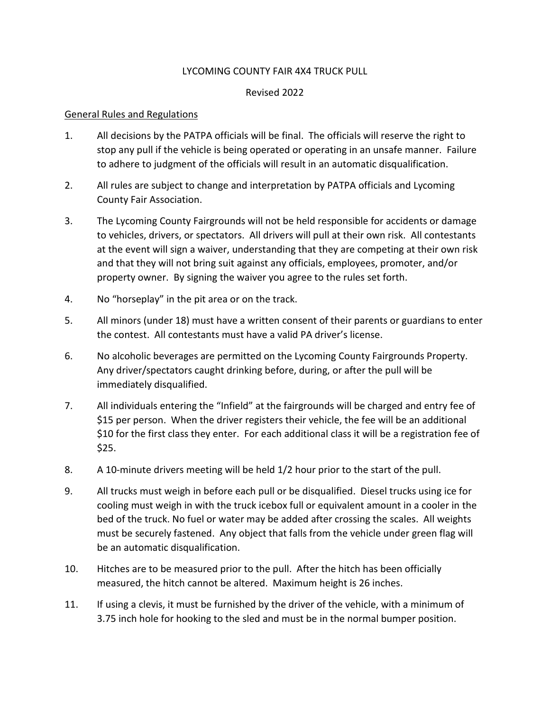## LYCOMING COUNTY FAIR 4X4 TRUCK PULL

## Revised 2022

## General Rules and Regulations

- 1. All decisions by the PATPA officials will be final. The officials will reserve the right to stop any pull if the vehicle is being operated or operating in an unsafe manner. Failure to adhere to judgment of the officials will result in an automatic disqualification.
- 2. All rules are subject to change and interpretation by PATPA officials and Lycoming County Fair Association.
- 3. The Lycoming County Fairgrounds will not be held responsible for accidents or damage to vehicles, drivers, or spectators. All drivers will pull at their own risk. All contestants at the event will sign a waiver, understanding that they are competing at their own risk and that they will not bring suit against any officials, employees, promoter, and/or property owner. By signing the waiver you agree to the rules set forth.
- 4. No "horseplay" in the pit area or on the track.
- 5. All minors (under 18) must have a written consent of their parents or guardians to enter the contest. All contestants must have a valid PA driver's license.
- 6. No alcoholic beverages are permitted on the Lycoming County Fairgrounds Property. Any driver/spectators caught drinking before, during, or after the pull will be immediately disqualified.
- 7. All individuals entering the "Infield" at the fairgrounds will be charged and entry fee of \$15 per person. When the driver registers their vehicle, the fee will be an additional \$10 for the first class they enter. For each additional class it will be a registration fee of \$25.
- 8. A 10-minute drivers meeting will be held 1/2 hour prior to the start of the pull.
- 9. All trucks must weigh in before each pull or be disqualified. Diesel trucks using ice for cooling must weigh in with the truck icebox full or equivalent amount in a cooler in the bed of the truck. No fuel or water may be added after crossing the scales. All weights must be securely fastened. Any object that falls from the vehicle under green flag will be an automatic disqualification.
- 10. Hitches are to be measured prior to the pull. After the hitch has been officially measured, the hitch cannot be altered. Maximum height is 26 inches.
- 11. If using a clevis, it must be furnished by the driver of the vehicle, with a minimum of 3.75 inch hole for hooking to the sled and must be in the normal bumper position.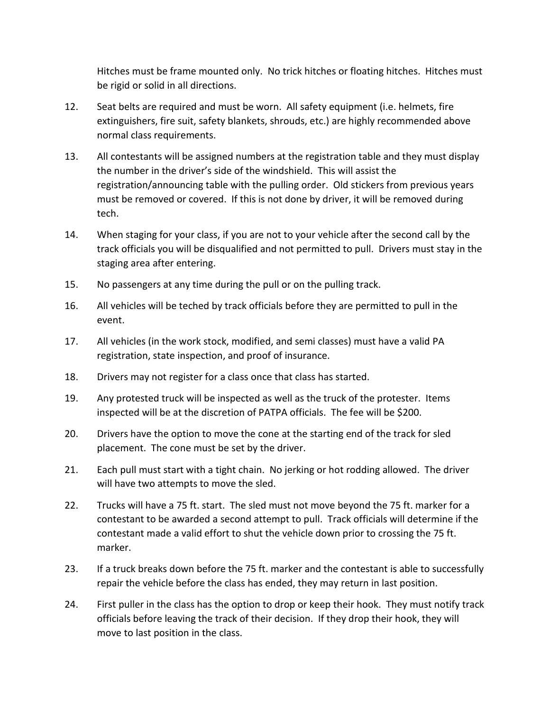Hitches must be frame mounted only. No trick hitches or floating hitches. Hitches must be rigid or solid in all directions.

- 12. Seat belts are required and must be worn. All safety equipment (i.e. helmets, fire extinguishers, fire suit, safety blankets, shrouds, etc.) are highly recommended above normal class requirements.
- 13. All contestants will be assigned numbers at the registration table and they must display the number in the driver's side of the windshield. This will assist the registration/announcing table with the pulling order. Old stickers from previous years must be removed or covered. If this is not done by driver, it will be removed during tech.
- 14. When staging for your class, if you are not to your vehicle after the second call by the track officials you will be disqualified and not permitted to pull. Drivers must stay in the staging area after entering.
- 15. No passengers at any time during the pull or on the pulling track.
- 16. All vehicles will be teched by track officials before they are permitted to pull in the event.
- 17. All vehicles (in the work stock, modified, and semi classes) must have a valid PA registration, state inspection, and proof of insurance.
- 18. Drivers may not register for a class once that class has started.
- 19. Any protested truck will be inspected as well as the truck of the protester. Items inspected will be at the discretion of PATPA officials. The fee will be \$200.
- 20. Drivers have the option to move the cone at the starting end of the track for sled placement. The cone must be set by the driver.
- 21. Each pull must start with a tight chain. No jerking or hot rodding allowed. The driver will have two attempts to move the sled.
- 22. Trucks will have a 75 ft. start. The sled must not move beyond the 75 ft. marker for a contestant to be awarded a second attempt to pull. Track officials will determine if the contestant made a valid effort to shut the vehicle down prior to crossing the 75 ft. marker.
- 23. If a truck breaks down before the 75 ft. marker and the contestant is able to successfully repair the vehicle before the class has ended, they may return in last position.
- 24. First puller in the class has the option to drop or keep their hook. They must notify track officials before leaving the track of their decision. If they drop their hook, they will move to last position in the class.